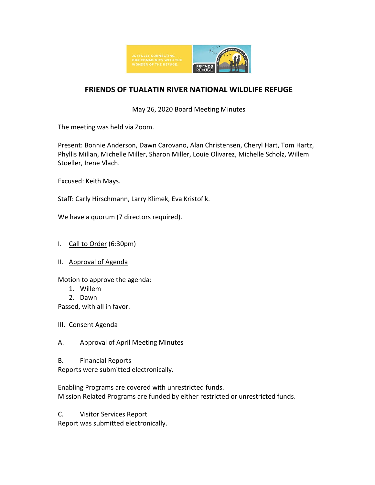

## **FRIENDS OF TUALATIN RIVER NATIONAL WILDLIFE REFUGE**

May 26, 2020 Board Meeting Minutes

The meeting was held via Zoom.

Present: Bonnie Anderson, Dawn Carovano, Alan Christensen, Cheryl Hart, Tom Hartz, Phyllis Millan, Michelle Miller, Sharon Miller, Louie Olivarez, Michelle Scholz, Willem Stoeller, Irene Vlach.

Excused: Keith Mays.

Staff: Carly Hirschmann, Larry Klimek, Eva Kristofik.

We have a quorum (7 directors required).

- I. Call to Order (6:30pm)
- II. Approval of Agenda

Motion to approve the agenda:

- 1. Willem
- 2. Dawn

Passed, with all in favor.

- III. Consent Agenda
- A. Approval of April Meeting Minutes
- B. Financial Reports

Reports were submitted electronically.

Enabling Programs are covered with unrestricted funds. Mission Related Programs are funded by either restricted or unrestricted funds.

C. Visitor Services Report

Report was submitted electronically.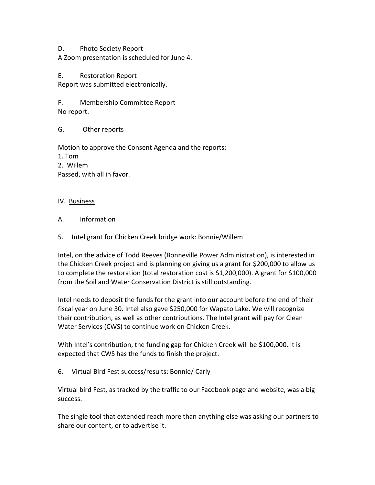## D. Photo Society Report

A Zoom presentation is scheduled for June 4.

E. Restoration Report Report was submitted electronically.

F. Membership Committee Report No report.

G. Other reports

Motion to approve the Consent Agenda and the reports:

1. Tom

2. Willem

Passed, with all in favor.

## IV. Business

- A. Information
- 5. Intel grant for Chicken Creek bridge work: Bonnie/Willem

Intel, on the advice of Todd Reeves (Bonneville Power Administration), is interested in the Chicken Creek project and is planning on giving us a grant for \$200,000 to allow us to complete the restoration (total restoration cost is \$1,200,000). A grant for \$100,000 from the Soil and Water Conservation District is still outstanding.

Intel needs to deposit the funds for the grant into our account before the end of their fiscal year on June 30. Intel also gave \$250,000 for Wapato Lake. We will recognize their contribution, as well as other contributions. The Intel grant will pay for Clean Water Services (CWS) to continue work on Chicken Creek.

With Intel's contribution, the funding gap for Chicken Creek will be \$100,000. It is expected that CWS has the funds to finish the project.

6. Virtual Bird Fest success/results: Bonnie/ Carly

Virtual bird Fest, as tracked by the traffic to our Facebook page and website, was a big success.

The single tool that extended reach more than anything else was asking our partners to share our content, or to advertise it.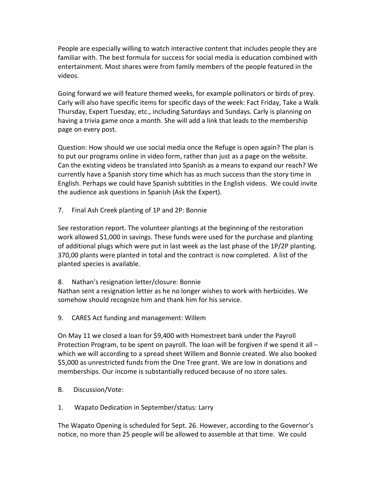People are especially willing to watch interactive content that includes people they are familiar with. The best formula for success for social media is education combined with entertainment. Most shares were from family members of the people featured in the videos.

Going forward we will feature themed weeks, for example pollinators or birds of prey. Carly will also have specific items for specific days of the week: Fact Friday, Take a Walk Thursday, Expert Tuesday, etc., including Saturdays and Sundays. Carly is planning on having a trivia game once a month. She will add a link that leads to the membership page on every post.

Question: How should we use social media once the Refuge is open again? The plan is to put our programs online in video form, rather than just as a page on the website. Can the existing videos be translated into Spanish as a means to expand our reach? We currently have a Spanish story time which has as much success than the story time in English. Perhaps we could have Spanish subtitles in the English videos. We could invite the audience ask questions in Spanish (Ask the Expert).

7. Final Ash Creek planting of 1P and 2P: Bonnie

See restoration report. The volunteer plantings at the beginning of the restoration work allowed \$1,000 in savings. These funds were used for the purchase and planting of additional plugs which were put in last week as the last phase of the 1P/2P planting. 370,00 plants were planted in total and the contract is now completed. A list of the planted species is available.

8. Nathan's resignation letter/closure: Bonnie

Nathan sent a resignation letter as he no longer wishes to work with herbicides. We somehow should recognize him and thank him for his service.

9. CARES Act funding and management: Willem

On May 11 we closed a loan for \$9,400 with Homestreet bank under the Payroll Protection Program, to be spent on payroll. The loan will be forgiven if we spend it all – which we will according to a spread sheet Willem and Bonnie created. We also booked \$5,000 as unrestricted funds from the One Tree grant. We are low in donations and memberships. Our income is substantially reduced because of no store sales.

- B. Discussion/Vote:
- 1. Wapato Dedication in September/status: Larry

The Wapato Opening is scheduled for Sept. 26. However, according to the Governor's notice, no more than 25 people will be allowed to assemble at that time. We could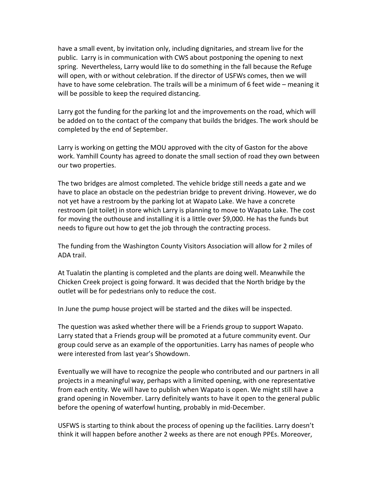have a small event, by invitation only, including dignitaries, and stream live for the public. Larry is in communication with CWS about postponing the opening to next spring. Nevertheless, Larry would like to do something in the fall because the Refuge will open, with or without celebration. If the director of USFWs comes, then we will have to have some celebration. The trails will be a minimum of 6 feet wide – meaning it will be possible to keep the required distancing.

Larry got the funding for the parking lot and the improvements on the road, which will be added on to the contact of the company that builds the bridges. The work should be completed by the end of September.

Larry is working on getting the MOU approved with the city of Gaston for the above work. Yamhill County has agreed to donate the small section of road they own between our two properties.

The two bridges are almost completed. The vehicle bridge still needs a gate and we have to place an obstacle on the pedestrian bridge to prevent driving. However, we do not yet have a restroom by the parking lot at Wapato Lake. We have a concrete restroom (pit toilet) in store which Larry is planning to move to Wapato Lake. The cost for moving the outhouse and installing it is a little over \$9,000. He has the funds but needs to figure out how to get the job through the contracting process.

The funding from the Washington County Visitors Association will allow for 2 miles of ADA trail.

At Tualatin the planting is completed and the plants are doing well. Meanwhile the Chicken Creek project is going forward. It was decided that the North bridge by the outlet will be for pedestrians only to reduce the cost.

In June the pump house project will be started and the dikes will be inspected.

The question was asked whether there will be a Friends group to support Wapato. Larry stated that a Friends group will be promoted at a future community event. Our group could serve as an example of the opportunities. Larry has names of people who were interested from last year's Showdown.

Eventually we will have to recognize the people who contributed and our partners in all projects in a meaningful way, perhaps with a limited opening, with one representative from each entity. We will have to publish when Wapato is open. We might still have a grand opening in November. Larry definitely wants to have it open to the general public before the opening of waterfowl hunting, probably in mid-December.

USFWS is starting to think about the process of opening up the facilities. Larry doesn't think it will happen before another 2 weeks as there are not enough PPEs. Moreover,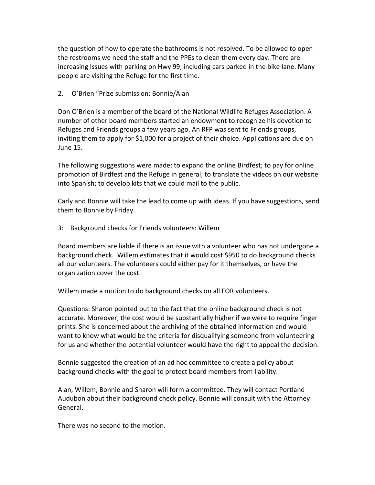the question of how to operate the bathrooms is not resolved. To be allowed to open the restrooms we need the staff and the PPEs to clean them every day. There are increasing Issues with parking on Hwy 99, including cars parked in the bike lane. Many people are visiting the Refuge for the first time.

2. O'Brien "Prize submission: Bonnie/Alan

Don O'Brien is a member of the board of the National Wildlife Refuges Association. A number of other board members started an endowment to recognize his devotion to Refuges and Friends groups a few years ago. An RFP was sent to Friends groups, inviting them to apply for \$1,000 for a project of their choice. Applications are due on June 15.

The following suggestions were made: to expand the online Birdfest; to pay for online promotion of Birdfest and the Refuge in general; to translate the videos on our website into Spanish; to develop kits that we could mail to the public.

Carly and Bonnie will take the lead to come up with ideas. If you have suggestions, send them to Bonnie by Friday.

3: Background checks for Friends volunteers: Willem

Board members are liable if there is an issue with a volunteer who has not undergone a background check. Willem estimates that it would cost \$950 to do background checks all our volunteers. The volunteers could either pay for it themselves, or have the organization cover the cost.

Willem made a motion to do background checks on all FOR volunteers.

Questions: Sharon pointed out to the fact that the online background check is not accurate. Moreover, the cost would be substantially higher if we were to require finger prints. She is concerned about the archiving of the obtained information and would want to know what would be the criteria for disqualifying someone from volunteering for us and whether the potential volunteer would have the right to appeal the decision.

Bonnie suggested the creation of an ad hoc committee to create a policy about background checks with the goal to protect board members from liability.

Alan, Willem, Bonnie and Sharon will form a committee. They will contact Portland Audubon about their background check policy. Bonnie will consult with the Attorney General.

There was no second to the motion.